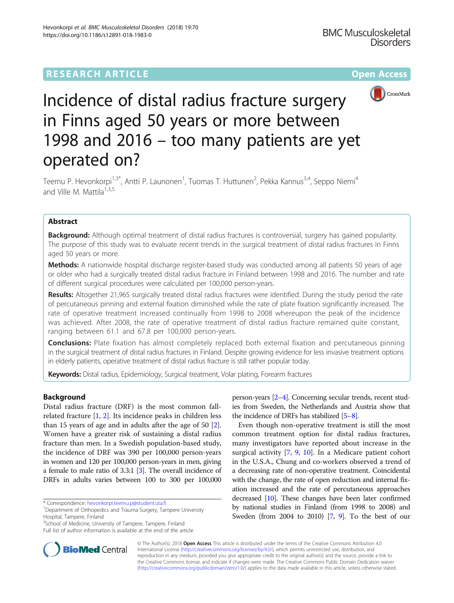## **RESEARCH ARTICLE Example 2014 12:30 The Contract of Contract ACCESS**



# Incidence of distal radius fracture surgery in Finns aged 50 years or more between 1998 and 2016 – too many patients are yet operated on?

Teemu P. Hevonkorpi<sup>1,3\*</sup>, Antti P. Launonen<sup>1</sup>, Tuomas T. Huttunen<sup>2</sup>, Pekka Kannus<sup>3,4</sup>, Seppo Niemi<sup>4</sup> and Ville M. Mattila<sup>1,3,5</sup>

## Abstract

Background: Although optimal treatment of distal radius fractures is controversial, surgery has gained popularity. The purpose of this study was to evaluate recent trends in the surgical treatment of distal radius fractures in Finns aged 50 years or more.

Methods: A nationwide hospital discharge register-based study was conducted among all patients 50 years of age or older who had a surgically treated distal radius fracture in Finland between 1998 and 2016. The number and rate of different surgical procedures were calculated per 100,000 person-years.

Results: Altogether 21,965 surgically treated distal radius fractures were identified. During the study period the rate of percutaneous pinning and external fixation diminished while the rate of plate fixation significantly increased. The rate of operative treatment increased continually from 1998 to 2008 whereupon the peak of the incidence was achieved. After 2008, the rate of operative treatment of distal radius fracture remained quite constant, ranging between 61.1 and 67.8 per 100,000 person-years.

**Conclusions:** Plate fixation has almost completely replaced both external fixation and percutaneous pinning in the surgical treatment of distal radius fractures in Finland. Despite growing evidence for less invasive treatment options in elderly patients, operative treatment of distal radius fracture is still rather popular today.

Keywords: Distal radius, Epidemiology, Surgical treatment, Volar plating, Forearm fractures

## Background

Distal radius fracture (DRF) is the most common fallrelated fracture [\[1](#page-4-0), [2](#page-4-0)]. Its incidence peaks in children less than 15 years of age and in adults after the age of 50 [\[2](#page-4-0)]. Women have a greater risk of sustaining a distal radius fracture than men. In a Swedish population-based study, the incidence of DRF was 390 per 100,000 person-years in women and 120 per 100,000 person-years in men, giving a female to male ratio of 3.3:1 [\[3\]](#page-4-0). The overall incidence of DRFs in adults varies between 100 to 300 per 100,000



Even though non-operative treatment is still the most common treatment option for distal radius fractures, many investigators have reported about increase in the surgical activity [\[7,](#page-4-0) [9,](#page-4-0) [10\]](#page-4-0). In a Medicare patient cohort in the U.S.A., Chung and co-workers observed a trend of a decreasing rate of non-operative treatment. Coincidental with the change, the rate of open reduction and internal fixation increased and the rate of percutaneous approaches decreased [\[10\]](#page-4-0). These changes have been later confirmed by national studies in Finland (from 1998 to 2008) and Sweden (from 2004 to 2010) [[7](#page-4-0), [9\]](#page-4-0). To the best of our



© The Author(s). 2018 Open Access This article is distributed under the terms of the Creative Commons Attribution 4.0 International License [\(http://creativecommons.org/licenses/by/4.0/](http://creativecommons.org/licenses/by/4.0/)), which permits unrestricted use, distribution, and reproduction in any medium, provided you give appropriate credit to the original author(s) and the source, provide a link to the Creative Commons license, and indicate if changes were made. The Creative Commons Public Domain Dedication waiver [\(http://creativecommons.org/publicdomain/zero/1.0/](http://creativecommons.org/publicdomain/zero/1.0/)) applies to the data made available in this article, unless otherwise stated.

<sup>\*</sup> Correspondence: [hevonkorpi.teemu.p@student.uta.fi](mailto:hevonkorpi.teemu.p@student.uta.fi) <sup>1</sup>

<sup>&</sup>lt;sup>1</sup>Department of Orthopedics and Trauma Surgery, Tampere University Hospital, Tampere, Finland

<sup>&</sup>lt;sup>3</sup>School of Medicine, University of Tampere, Tampere, Finland

Full list of author information is available at the end of the article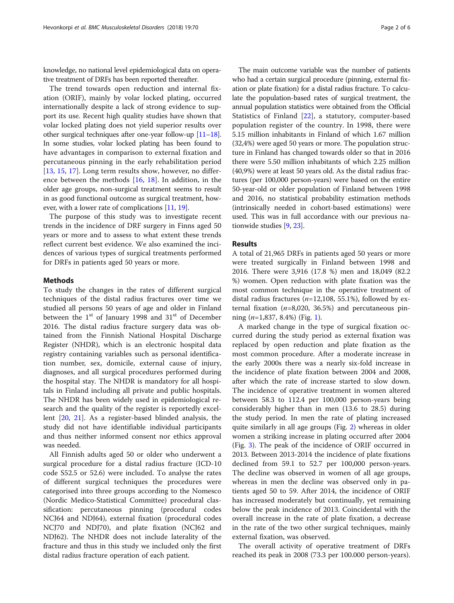knowledge, no national level epidemiological data on operative treatment of DRFs has been reported thereafter.

The trend towards open reduction and internal fixation (ORIF), mainly by volar locked plating, occurred internationally despite a lack of strong evidence to support its use. Recent high quality studies have shown that volar locked plating does not yield superior results over other surgical techniques after one-year follow-up [[11](#page-4-0)–[18](#page-5-0)]. In some studies, volar locked plating has been found to have advantages in comparison to external fixation and percutaneous pinning in the early rehabilitation period [[13,](#page-4-0) [15](#page-5-0), [17](#page-5-0)]. Long term results show, however, no difference between the methods [\[16](#page-5-0), [18](#page-5-0)]. In addition, in the older age groups, non-surgical treatment seems to result in as good functional outcome as surgical treatment, however, with a lower rate of complications [\[11,](#page-4-0) [19](#page-5-0)].

The purpose of this study was to investigate recent trends in the incidence of DRF surgery in Finns aged 50 years or more and to assess to what extent these trends reflect current best evidence. We also examined the incidences of various types of surgical treatments performed for DRFs in patients aged 50 years or more.

#### Methods

To study the changes in the rates of different surgical techniques of the distal radius fractures over time we studied all persons 50 years of age and older in Finland between the  $1<sup>st</sup>$  of January 1998 and  $31<sup>st</sup>$  of December 2016. The distal radius fracture surgery data was obtained from the Finnish National Hospital Discharge Register (NHDR), which is an electronic hospital data registry containing variables such as personal identification number, sex, domicile, external cause of injury, diagnoses, and all surgical procedures performed during the hospital stay. The NHDR is mandatory for all hospitals in Finland including all private and public hospitals. The NHDR has been widely used in epidemiological research and the quality of the register is reportedly excellent [\[20](#page-5-0), [21\]](#page-5-0). As a register-based blinded analysis, the study did not have identifiable individual participants and thus neither informed consent nor ethics approval was needed.

All Finnish adults aged 50 or older who underwent a surgical procedure for a distal radius fracture (ICD-10 code S52.5 or 52.6) were included. To analyse the rates of different surgical techniques the procedures were categorised into three groups according to the Nomesco (Nordic Medico-Statistical Committee) procedural classification: percutaneous pinning (procedural codes NCJ64 and NDJ64), external fixation (procedural codes NCJ70 and NDJ70), and plate fixation (NCJ62 and NDJ62). The NHDR does not include laterality of the fracture and thus in this study we included only the first distal radius fracture operation of each patient.

The main outcome variable was the number of patients who had a certain surgical procedure (pinning, external fixation or plate fixation) for a distal radius fracture. To calculate the population-based rates of surgical treatment, the annual population statistics were obtained from the Official Statistics of Finland [\[22](#page-5-0)], a statutory, computer-based population register of the country. In 1998, there were 5.15 million inhabitants in Finland of which 1.67 million (32,4%) were aged 50 years or more. The population structure in Finland has changed towards older so that in 2016 there were 5.50 million inhabitants of which 2.25 million (40,9%) were at least 50 years old. As the distal radius fractures (per 100,000 person-years) were based on the entire 50-year-old or older population of Finland between 1998 and 2016, no statistical probability estimation methods (intrinsically needed in cohort-based estimations) were used. This was in full accordance with our previous nationwide studies [\[9](#page-4-0), [23](#page-5-0)].

#### Results

A total of 21,965 DRFs in patients aged 50 years or more were treated surgically in Finland between 1998 and 2016. There were 3,916 (17.8 %) men and 18,049 (82.2 %) women. Open reduction with plate fixation was the most common technique in the operative treatment of distal radius fractures ( $n=12,108, 55.1\%$ ), followed by external fixation  $(n=8,020, 36.5%)$  and percutaneous pinning  $(n=1,837, 8.4\%)$  $(n=1,837, 8.4\%)$  $(n=1,837, 8.4\%)$  (Fig. 1).

A marked change in the type of surgical fixation occurred during the study period as external fixation was replaced by open reduction and plate fixation as the most common procedure. After a moderate increase in the early 2000s there was a nearly six-fold increase in the incidence of plate fixation between 2004 and 2008, after which the rate of increase started to slow down. The incidence of operative treatment in women altered between 58.3 to 112.4 per 100,000 person-years being considerably higher than in men (13.6 to 28.5) during the study period. In men the rate of plating increased quite similarly in all age groups (Fig. [2\)](#page-2-0) whereas in older women a striking increase in plating occurred after 2004 (Fig. [3](#page-3-0)). The peak of the incidence of ORIF occurred in 2013. Between 2013-2014 the incidence of plate fixations declined from 59.1 to 52.7 per 100,000 person-years. The decline was observed in women of all age groups, whereas in men the decline was observed only in patients aged 50 to 59. After 2014, the incidence of ORIF has increased moderately but continually, yet remaining below the peak incidence of 2013. Coincidental with the overall increase in the rate of plate fixation, a decrease in the rate of the two other surgical techniques, mainly external fixation, was observed.

The overall activity of operative treatment of DRFs reached its peak in 2008 (73.3 per 100.000 person-years).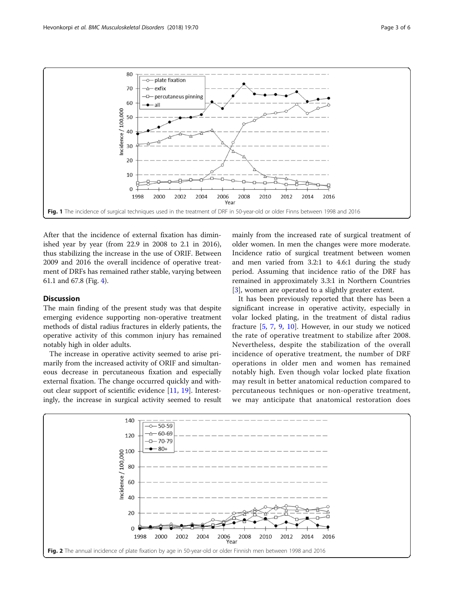<span id="page-2-0"></span>

After that the incidence of external fixation has diminished year by year (from 22.9 in 2008 to 2.1 in 2016), thus stabilizing the increase in the use of ORIF. Between 2009 and 2016 the overall incidence of operative treatment of DRFs has remained rather stable, varying between 61.1 and 67.8 (Fig. [4](#page-3-0)).

### Discussion

The main finding of the present study was that despite emerging evidence supporting non-operative treatment methods of distal radius fractures in elderly patients, the operative activity of this common injury has remained notably high in older adults.

The increase in operative activity seemed to arise primarily from the increased activity of ORIF and simultaneous decrease in percutaneous fixation and especially external fixation. The change occurred quickly and without clear support of scientific evidence [[11](#page-4-0), [19](#page-5-0)]. Interestingly, the increase in surgical activity seemed to result

mainly from the increased rate of surgical treatment of older women. In men the changes were more moderate. Incidence ratio of surgical treatment between women and men varied from 3.2:1 to 4.6:1 during the study period. Assuming that incidence ratio of the DRF has remained in approximately 3.3:1 in Northern Countries [[3\]](#page-4-0), women are operated to a slightly greater extent.

It has been previously reported that there has been a significant increase in operative activity, especially in volar locked plating, in the treatment of distal radius fracture [[5,](#page-4-0) [7,](#page-4-0) [9](#page-4-0), [10](#page-4-0)]. However, in our study we noticed the rate of operative treatment to stabilize after 2008. Nevertheless, despite the stabilization of the overall incidence of operative treatment, the number of DRF operations in older men and women has remained notably high. Even though volar locked plate fixation may result in better anatomical reduction compared to percutaneous techniques or non-operative treatment, we may anticipate that anatomical restoration does

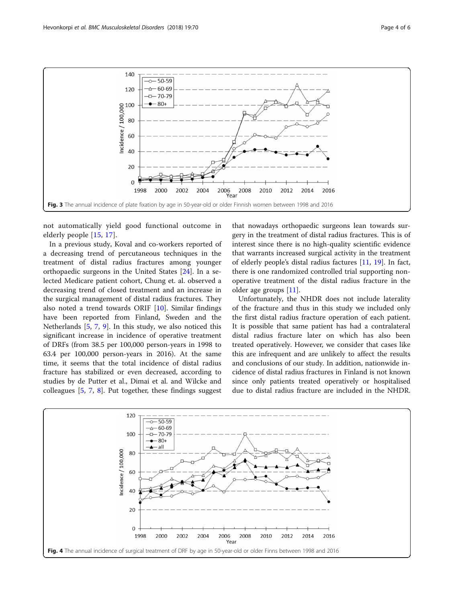

<span id="page-3-0"></span>

not automatically yield good functional outcome in elderly people [[15,](#page-5-0) [17](#page-5-0)].

In a previous study, Koval and co-workers reported of a decreasing trend of percutaneous techniques in the treatment of distal radius fractures among younger orthopaedic surgeons in the United States [\[24](#page-5-0)]. In a selected Medicare patient cohort, Chung et. al. observed a decreasing trend of closed treatment and an increase in the surgical management of distal radius fractures. They also noted a trend towards ORIF [\[10](#page-4-0)]. Similar findings have been reported from Finland, Sweden and the Netherlands [\[5](#page-4-0), [7,](#page-4-0) [9\]](#page-4-0). In this study, we also noticed this significant increase in incidence of operative treatment of DRFs (from 38.5 per 100,000 person-years in 1998 to 63.4 per 100,000 person-years in 2016). At the same time, it seems that the total incidence of distal radius fracture has stabilized or even decreased, according to studies by de Putter et al., Dimai et al. and Wilcke and colleagues [\[5](#page-4-0), [7](#page-4-0), [8](#page-4-0)]. Put together, these findings suggest

that nowadays orthopaedic surgeons lean towards surgery in the treatment of distal radius fractures. This is of interest since there is no high-quality scientific evidence that warrants increased surgical activity in the treatment of elderly people's distal radius factures [\[11,](#page-4-0) [19](#page-5-0)]. In fact, there is one randomized controlled trial supporting nonoperative treatment of the distal radius fracture in the older age groups [[11\]](#page-4-0).

Unfortunately, the NHDR does not include laterality of the fracture and thus in this study we included only the first distal radius fracture operation of each patient. It is possible that same patient has had a contralateral distal radius fracture later on which has also been treated operatively. However, we consider that cases like this are infrequent and are unlikely to affect the results and conclusions of our study. In addition, nationwide incidence of distal radius fractures in Finland is not known since only patients treated operatively or hospitalised due to distal radius fracture are included in the NHDR.

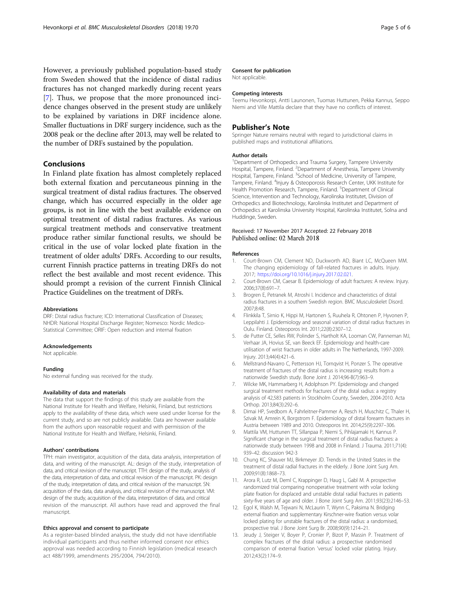<span id="page-4-0"></span>However, a previously published population-based study from Sweden showed that the incidence of distal radius fractures has not changed markedly during recent years [7]. Thus, we propose that the more pronounced incidence changes observed in the present study are unlikely to be explained by variations in DRF incidence alone. Smaller fluctuations in DRF surgery incidence, such as the 2008 peak or the decline after 2013, may well be related to the number of DRFs sustained by the population.

#### Conclusions

In Finland plate fixation has almost completely replaced both external fixation and percutaneous pinning in the surgical treatment of distal radius fractures. The observed change, which has occurred especially in the older age groups, is not in line with the best available evidence on optimal treatment of distal radius fractures. As various surgical treatment methods and conservative treatment produce rather similar functional results, we should be critical in the use of volar locked plate fixation in the treatment of older adults' DRFs. According to our results, current Finnish practice patterns in treating DRFs do not reflect the best available and most recent evidence. This should prompt a revision of the current Finnish Clinical Practice Guidelines on the treatment of DRFs.

#### Abbreviations

DRF: Distal radius fracture; ICD: International Classification of Diseases; NHDR: National Hospital Discharge Register; Nomesco: Nordic Medico-Statistical Committee; ORIF: Open reduction and internal fixation

#### Acknowledgements

Not applicable.

#### Funding

No external funding was received for the study.

#### Availability of data and materials

The data that support the findings of this study are available from the National Institute for Health and Welfare, Helsinki, Finland, but restrictions apply to the availability of these data, which were used under license for the current study, and so are not publicly available. Data are however available from the authors upon reasonable request and with permission of the National Institute for Health and Welfare, Helsinki, Finland.

#### Authors' contributions

TPH: main investigator, acquisition of the data, data analysis, interpretation of data, and writing of the manuscript. AL: design of the study, interpretation of data, and critical revision of the manuscript. TTH: design of the study, analysis of the data, interpretation of data, and critical revision of the manuscript. PK: design of the study, interpretation of data, and critical revision of the manuscript. SN: acquisition of the data, data analysis, and critical revision of the manuscript. VM: design of the study, acquisition of the data, interpretation of data, and critical revision of the manuscript. All authors have read and approved the final manuscript.

#### Ethics approval and consent to participate

As a register-based blinded analysis, the study did not have identifiable individual participants and thus neither informed consent nor ethics approval was needed according to Finnish legislation (medical research act 488/1999, amendments 295/2004, 794/2010).

#### Consent for publication

Not applicable.

#### Competing interests

Teemu Hevonkorpi, Antti Launonen, Tuomas Huttunen, Pekka Kannus, Seppo Niemi and Ville Mattila declare that they have no conflicts of interest.

#### Publisher's Note

Springer Nature remains neutral with regard to jurisdictional claims in published maps and institutional affiliations.

#### Author details

<sup>1</sup>Department of Orthopedics and Trauma Surgery, Tampere University Hospital, Tampere, Finland. <sup>2</sup>Department of Anesthesia, Tampere University Hospital, Tampere, Finland. <sup>3</sup>School of Medicine, University of Tampere, Tampere, Finland. <sup>4</sup>Injury & Osteoporosis Research Center, UKK Institute for Health Promotion Research, Tampere, Finland. <sup>5</sup>Department of Clinical Science, Intervention and Technology, Karolinska Institutet, Division of Orthopedics and Biotechnology, Karolinska Institutet and Department of Orthopedics at Karolinska University Hospital, Karolinska Institutet, Solna and Huddinge, Sweden.

#### Received: 17 November 2017 Accepted: 22 February 2018 Published online: 02 March 2018

#### References

- 1. Court-Brown CM, Clement ND, Duckworth AD, Biant LC, McQueen MM. The changing epidemiology of fall-related fractures in adults. Injury. 2017; [https://doi.org/10.1016/j.injury.2017.02.021.](https://doi.org/10.1016/j.injury.2017.02.021)
- 2. Court-Brown CM, Caesar B. Epidemiology of adult fractures: A review. Injury. 2006;37(8):691–7.
- 3. Brogren E, Petranek M, Atroshi I. Incidence and characteristics of distal radius fractures in a southern Swedish region. BMC Musculoskelet Disord. 2007;8:48.
- 4. Flinkkila T, Sirnio K, Hippi M, Hartonen S, Ruuhela R, Ohtonen P, Hyvonen P, Leppilahti J. Epidemiology and seasonal variation of distal radius fractures in Oulu. Finland. Osteoporos Int. 2011;22(8):2307–12.
- 5. de Putter CE, Selles RW, Polinder S, Hartholt KA, Looman CW, Panneman MJ, Verhaar JA, Hovius SE, van Beeck EF. Epidemiology and health-care utilisation of wrist fractures in older adults in The Netherlands, 1997-2009. Injury. 2013;44(4):421–6.
- 6. Mellstrand-Navarro C, Pettersson HJ, Tornqvist H, Ponzer S. The operative treatment of fractures of the distal radius is increasing: results from a nationwide Swedish study. Bone Joint J. 2014;96-B(7):963–9.
- 7. Wilcke MK, Hammarberg H, Adolphson PY. Epidemiology and changed surgical treatment methods for fractures of the distal radius: a registry analysis of 42,583 patients in Stockholm County, Sweden, 2004-2010. Acta Orthop. 2013;84(3):292–6.
- 8. Dimai HP, Svedbom A, Fahrleitner-Pammer A, Resch H, Muschitz C, Thaler H, Szivak M, Amrein K, Borgstrom F. Epidemiology of distal forearm fractures in Austria between 1989 and 2010. Osteoporos Int. 2014;25(9):2297–306.
- 9. Mattila VM, Huttunen TT, Sillanpaa P, Niemi S, Pihlajamaki H, Kannus P. Significant change in the surgical treatment of distal radius fractures: a nationwide study between 1998 and 2008 in Finland. J Trauma. 2011;71(4): 939–42. discussion 942-3
- 10. Chung KC, Shauver MJ, Birkmeyer JD. Trends in the United States in the treatment of distal radial fractures in the elderly. J Bone Joint Surg Am. 2009;91(8):1868–73.
- 11. Arora R, Lutz M, Deml C, Krappinger D, Haug L, Gabl M. A prospective randomized trial comparing nonoperative treatment with volar locking plate fixation for displaced and unstable distal radial fractures in patients sixty-five years of age and older. J Bone Joint Surg Am. 2011;93(23):2146–53.
- 12. Egol K, Walsh M, Tejwani N, McLaurin T, Wynn C, Paksima N. Bridging external fixation and supplementary Kirschner-wire fixation versus volar locked plating for unstable fractures of the distal radius: a randomised, prospective trial. J Bone Joint Surg Br. 2008;90(9):1214–21.
- 13. Jeudy J, Steiger V, Boyer P, Cronier P, Bizot P, Massin P. Treatment of complex fractures of the distal radius: a prospective randomised comparison of external fixation 'versus' locked volar plating. Injury. 2012;43(2):174–9.